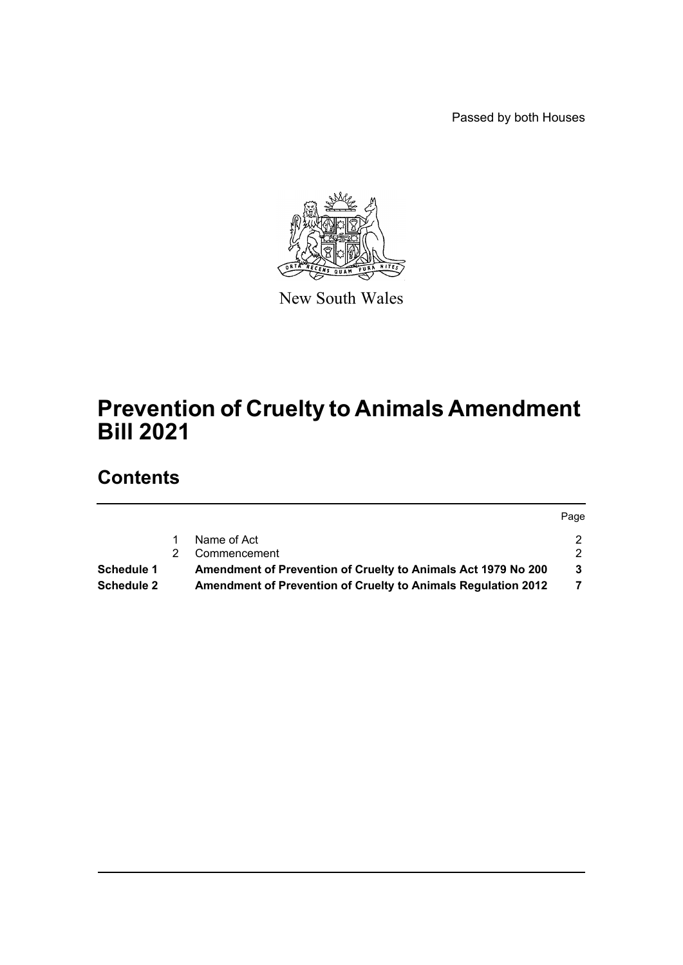Passed by both Houses



New South Wales

# **Prevention of Cruelty to Animals Amendment Bill 2021**

# **Contents**

|            |                                                                      | Page |
|------------|----------------------------------------------------------------------|------|
|            | Name of Act                                                          | 2.   |
|            | Commencement                                                         | 2.   |
| Schedule 1 | Amendment of Prevention of Cruelty to Animals Act 1979 No 200        | 3    |
| Schedule 2 | <b>Amendment of Prevention of Cruelty to Animals Regulation 2012</b> |      |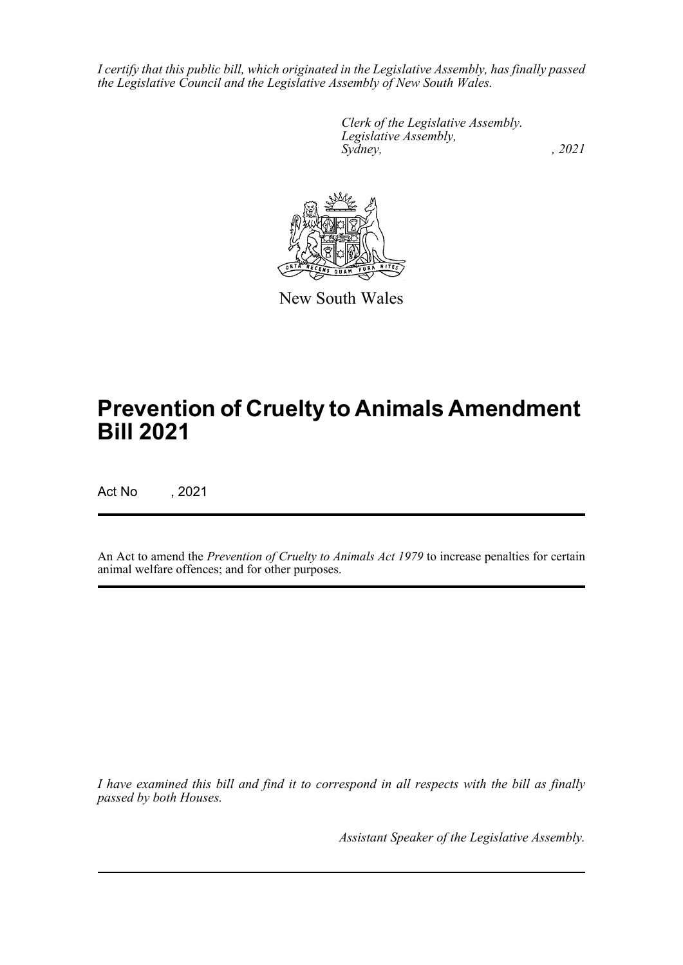*I certify that this public bill, which originated in the Legislative Assembly, has finally passed the Legislative Council and the Legislative Assembly of New South Wales.*

> *Clerk of the Legislative Assembly. Legislative Assembly, Sydney, , 2021*



New South Wales

# **Prevention of Cruelty to Animals Amendment Bill 2021**

Act No , 2021

An Act to amend the *Prevention of Cruelty to Animals Act 1979* to increase penalties for certain animal welfare offences; and for other purposes.

*I have examined this bill and find it to correspond in all respects with the bill as finally passed by both Houses.*

*Assistant Speaker of the Legislative Assembly.*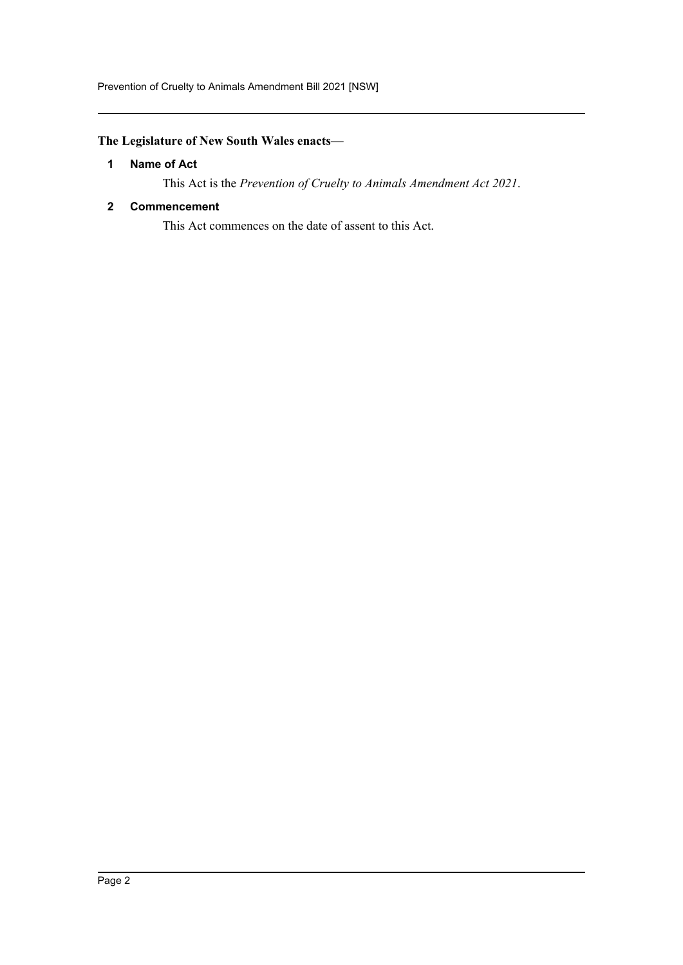Prevention of Cruelty to Animals Amendment Bill 2021 [NSW]

# <span id="page-2-0"></span>**The Legislature of New South Wales enacts—**

## **1 Name of Act**

This Act is the *Prevention of Cruelty to Animals Amendment Act 2021*.

#### <span id="page-2-1"></span>**2 Commencement**

This Act commences on the date of assent to this Act.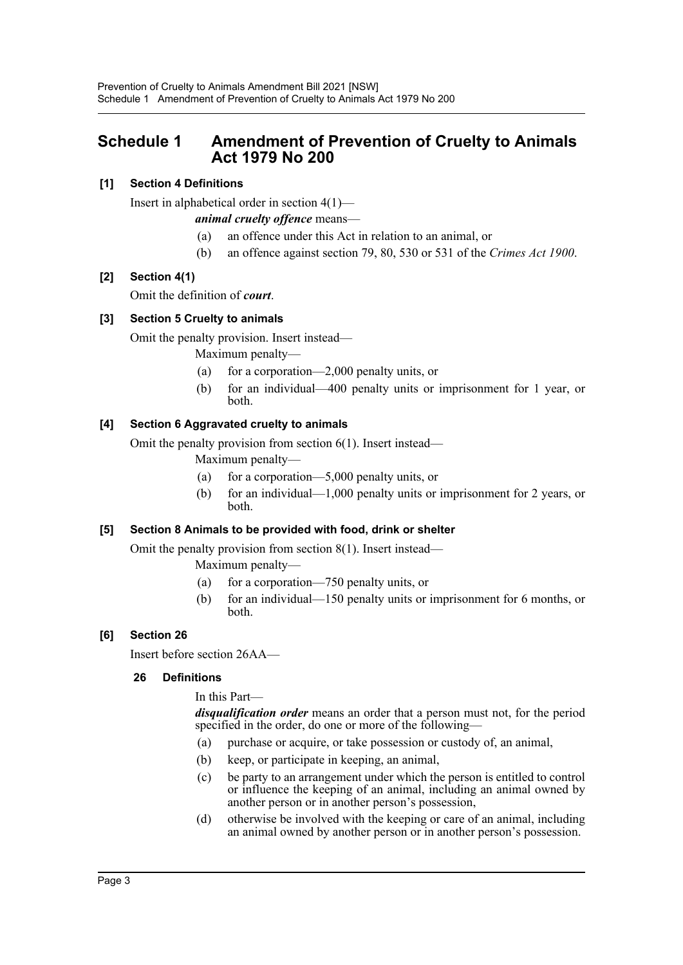# <span id="page-3-0"></span>**Schedule 1 Amendment of Prevention of Cruelty to Animals Act 1979 No 200**

# **[1] Section 4 Definitions**

Insert in alphabetical order in section 4(1)—

# *animal cruelty offence* means—

- (a) an offence under this Act in relation to an animal, or
- (b) an offence against section 79, 80, 530 or 531 of the *Crimes Act 1900*.

# **[2] Section 4(1)**

Omit the definition of *court*.

# **[3] Section 5 Cruelty to animals**

Omit the penalty provision. Insert instead—

Maximum penalty—

- (a) for a corporation—2,000 penalty units, or
- (b) for an individual—400 penalty units or imprisonment for 1 year, or both.

# **[4] Section 6 Aggravated cruelty to animals**

Omit the penalty provision from section 6(1). Insert instead—

- Maximum penalty—
- (a) for a corporation—5,000 penalty units, or
- (b) for an individual—1,000 penalty units or imprisonment for 2 years, or both.

# **[5] Section 8 Animals to be provided with food, drink or shelter**

Omit the penalty provision from section 8(1). Insert instead—

Maximum penalty—

- (a) for a corporation—750 penalty units, or
- (b) for an individual—150 penalty units or imprisonment for 6 months, or both.

# **[6] Section 26**

Insert before section 26AA—

## **26 Definitions**

In this Part—

*disqualification order* means an order that a person must not, for the period specified in the order, do one or more of the following—

- (a) purchase or acquire, or take possession or custody of, an animal,
- (b) keep, or participate in keeping, an animal,
- (c) be party to an arrangement under which the person is entitled to control or influence the keeping of an animal, including an animal owned by another person or in another person's possession,
- (d) otherwise be involved with the keeping or care of an animal, including an animal owned by another person or in another person's possession.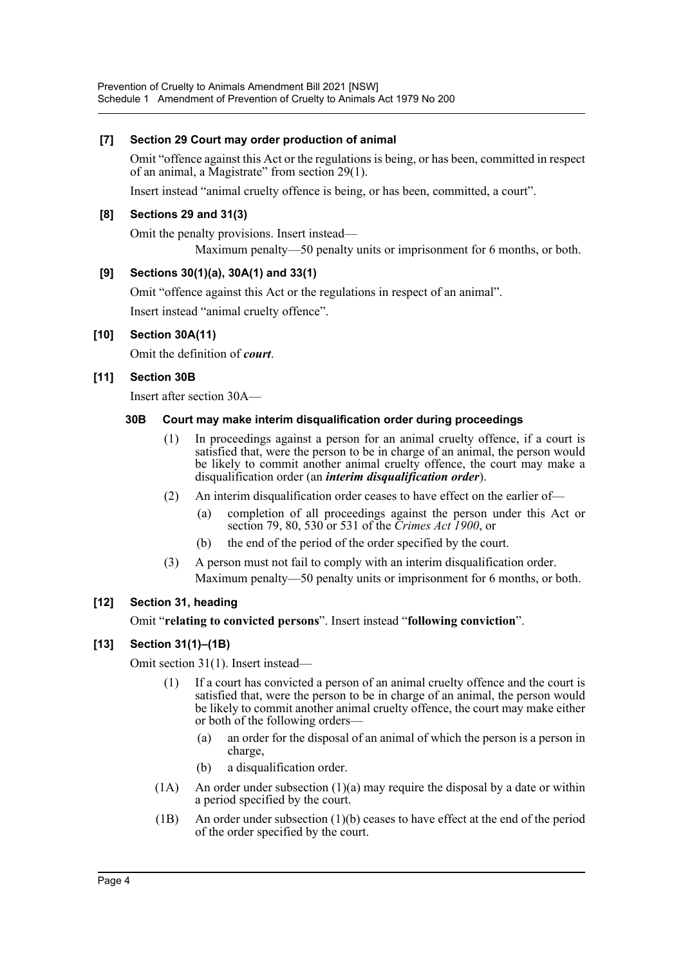## **[7] Section 29 Court may order production of animal**

Omit "offence against this Act or the regulations is being, or has been, committed in respect of an animal, a Magistrate" from section 29(1).

Insert instead "animal cruelty offence is being, or has been, committed, a court".

#### **[8] Sections 29 and 31(3)**

Omit the penalty provisions. Insert instead—

Maximum penalty—50 penalty units or imprisonment for 6 months, or both.

#### **[9] Sections 30(1)(a), 30A(1) and 33(1)**

Omit "offence against this Act or the regulations in respect of an animal".

Insert instead "animal cruelty offence".

## **[10] Section 30A(11)**

Omit the definition of *court*.

#### **[11] Section 30B**

Insert after section 30A—

#### **30B Court may make interim disqualification order during proceedings**

- (1) In proceedings against a person for an animal cruelty offence, if a court is satisfied that, were the person to be in charge of an animal, the person would be likely to commit another animal cruelty offence, the court may make a disqualification order (an *interim disqualification order*).
- (2) An interim disqualification order ceases to have effect on the earlier of—
	- (a) completion of all proceedings against the person under this Act or section 79, 80, 530 or 531 of the *Crimes Act 1900*, or
	- (b) the end of the period of the order specified by the court.
- (3) A person must not fail to comply with an interim disqualification order. Maximum penalty—50 penalty units or imprisonment for 6 months, or both.

## **[12] Section 31, heading**

Omit "**relating to convicted persons**". Insert instead "**following conviction**".

## **[13] Section 31(1)–(1B)**

Omit section 31(1). Insert instead—

- (1) If a court has convicted a person of an animal cruelty offence and the court is satisfied that, were the person to be in charge of an animal, the person would be likely to commit another animal cruelty offence, the court may make either or both of the following orders—
	- (a) an order for the disposal of an animal of which the person is a person in charge,
	- (b) a disqualification order.
- (1A) An order under subsection (1)(a) may require the disposal by a date or within a period specified by the court.
- (1B) An order under subsection (1)(b) ceases to have effect at the end of the period of the order specified by the court.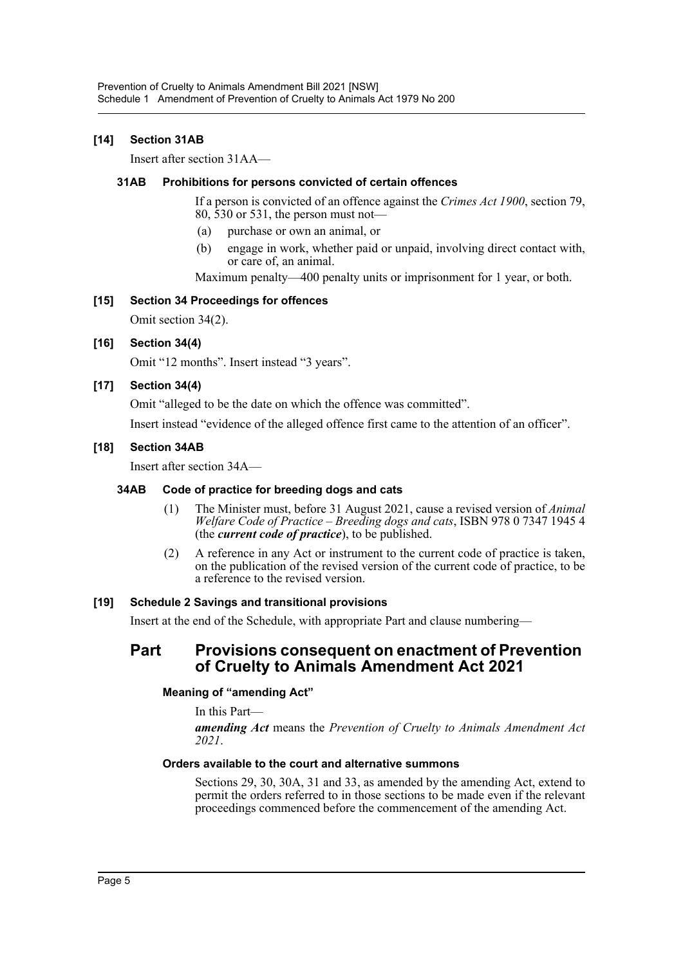#### **[14] Section 31AB**

Insert after section 31AA—

#### **31AB Prohibitions for persons convicted of certain offences**

If a person is convicted of an offence against the *Crimes Act 1900*, section 79, 80, 530 or 531, the person must not—

- (a) purchase or own an animal, or
- (b) engage in work, whether paid or unpaid, involving direct contact with, or care of, an animal.

Maximum penalty—400 penalty units or imprisonment for 1 year, or both.

#### **[15] Section 34 Proceedings for offences**

Omit section 34(2).

#### **[16] Section 34(4)**

Omit "12 months". Insert instead "3 years".

#### **[17] Section 34(4)**

Omit "alleged to be the date on which the offence was committed".

Insert instead "evidence of the alleged offence first came to the attention of an officer".

#### **[18] Section 34AB**

Insert after section 34A—

#### **34AB Code of practice for breeding dogs and cats**

- (1) The Minister must, before 31 August 2021, cause a revised version of *Animal Welfare Code of Practice – Breeding dogs and cats*, ISBN 978 0 7347 1945 4 (the *current code of practice*), to be published.
- (2) A reference in any Act or instrument to the current code of practice is taken, on the publication of the revised version of the current code of practice, to be a reference to the revised version.

#### **[19] Schedule 2 Savings and transitional provisions**

Insert at the end of the Schedule, with appropriate Part and clause numbering—

# **Part Provisions consequent on enactment of Prevention of Cruelty to Animals Amendment Act 2021**

#### **Meaning of "amending Act"**

In this Part—

*amending Act* means the *Prevention of Cruelty to Animals Amendment Act 2021*.

## **Orders available to the court and alternative summons**

Sections 29, 30, 30A, 31 and 33, as amended by the amending Act, extend to permit the orders referred to in those sections to be made even if the relevant proceedings commenced before the commencement of the amending Act.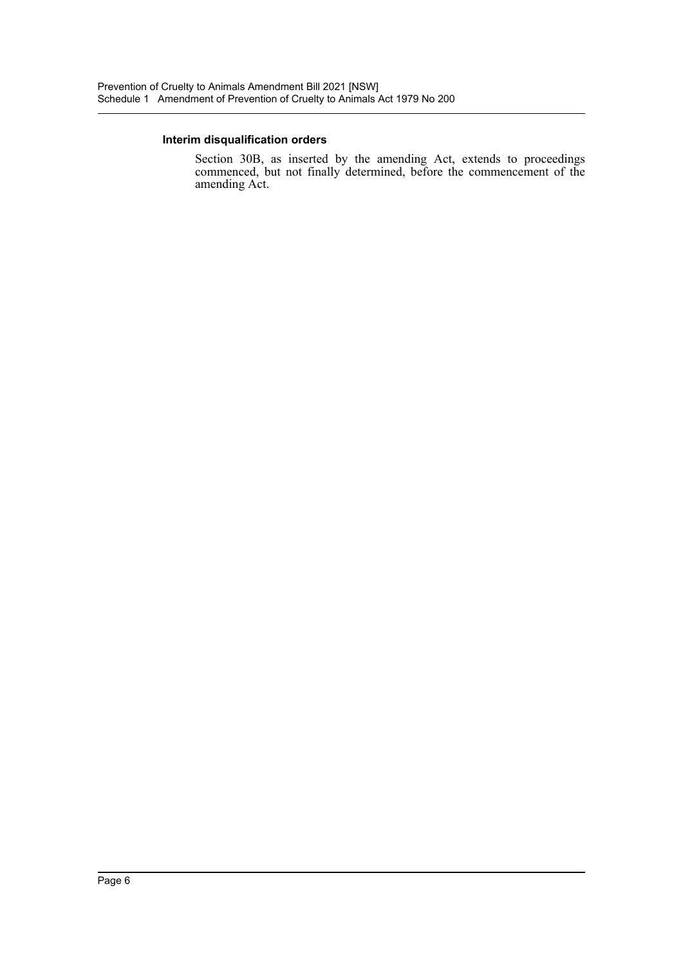#### **Interim disqualification orders**

Section 30B, as inserted by the amending Act, extends to proceedings commenced, but not finally determined, before the commencement of the amending Act.